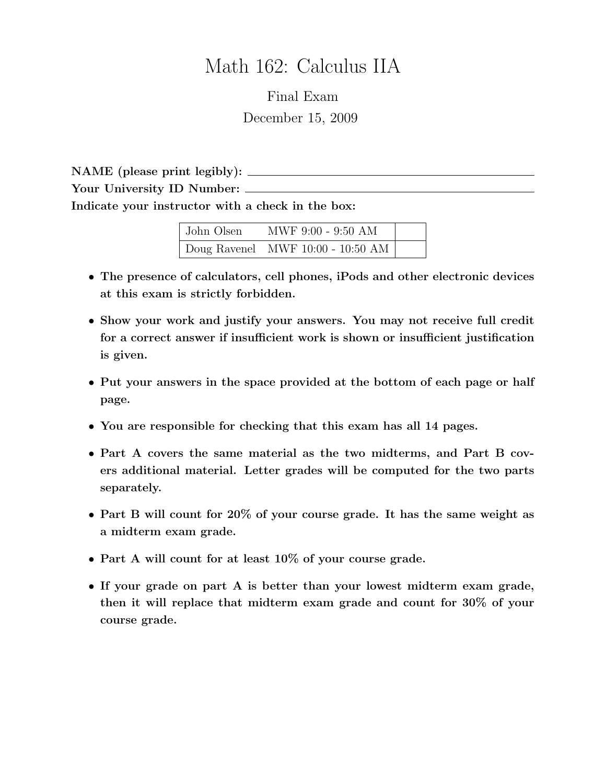# Math 162: Calculus IIA

Final Exam December 15, 2009

NAME (please print legibly): Your University ID Number:  $\_\_$ Indicate your instructor with a check in the box:

| John Olsen | MWF 9:00 - 9:50 AM                        |  |
|------------|-------------------------------------------|--|
|            | $\vert$ Doug Ravenel MWF 10:00 - 10:50 AM |  |

- The presence of calculators, cell phones, iPods and other electronic devices at this exam is strictly forbidden.
- Show your work and justify your answers. You may not receive full credit for a correct answer if insufficient work is shown or insufficient justification is given.
- Put your answers in the space provided at the bottom of each page or half page.
- You are responsible for checking that this exam has all 14 pages.
- Part A covers the same material as the two midterms, and Part B covers additional material. Letter grades will be computed for the two parts separately.
- Part B will count for 20% of your course grade. It has the same weight as a midterm exam grade.
- Part A will count for at least 10% of your course grade.
- If your grade on part A is better than your lowest midterm exam grade, then it will replace that midterm exam grade and count for 30% of your course grade.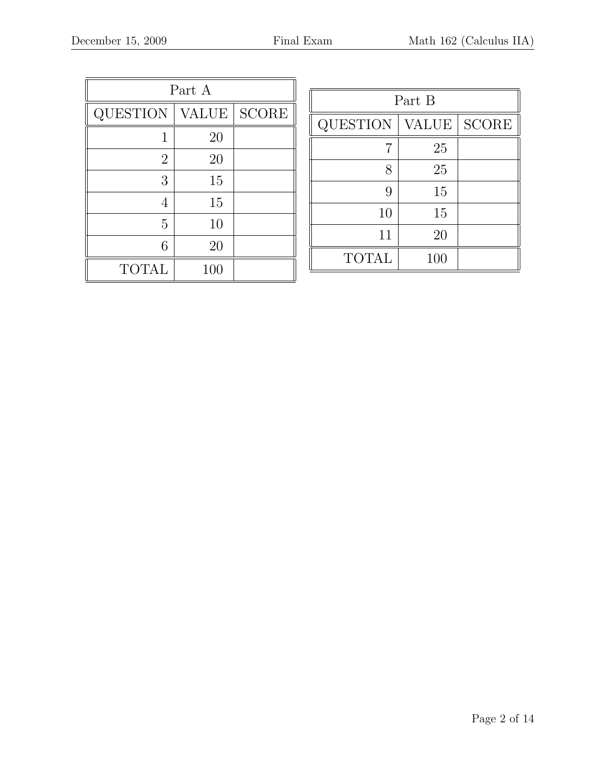| Part A         |              |              |  |  |
|----------------|--------------|--------------|--|--|
| QUESTION       | <b>VALUE</b> | <b>SCORE</b> |  |  |
| 1              | 20           |              |  |  |
| $\overline{2}$ | 20           |              |  |  |
| 3              | 15           |              |  |  |
| 4              | 15           |              |  |  |
| 5              | 10           |              |  |  |
| 6              | 20           |              |  |  |
| <b>TOTAL</b>   | 100          |              |  |  |

| Part B          |              |                        |  |  |
|-----------------|--------------|------------------------|--|--|
| <b>QUESTION</b> | <b>VALUE</b> | $\operatorname{SCORE}$ |  |  |
|                 | 25           |                        |  |  |
| 8               | 25           |                        |  |  |
| 9               | 15           |                        |  |  |
| 10              | 15           |                        |  |  |
| 11              | 20           |                        |  |  |
| <b>TOTAL</b>    | 100          |                        |  |  |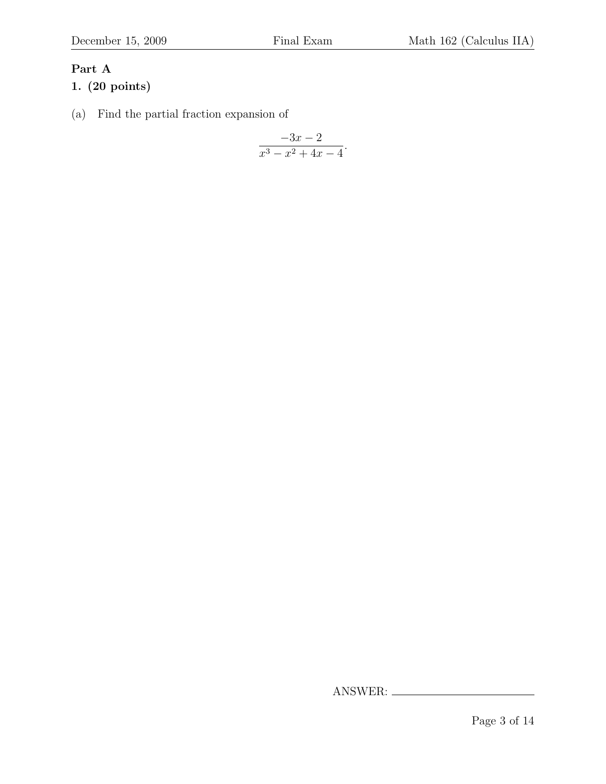### Part A

#### 1. (20 points)

(a) Find the partial fraction expansion of

$$
\frac{-3x-2}{x^3-x^2+4x-4}.
$$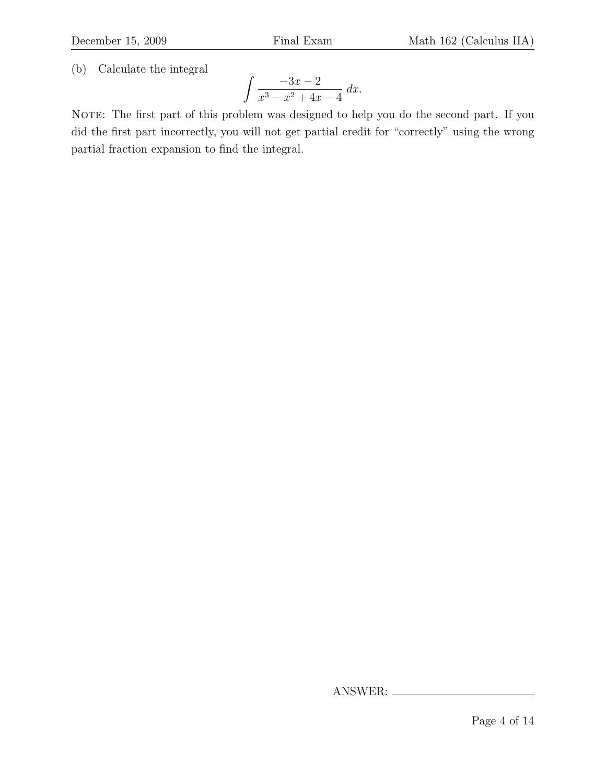(b) Calculate the integral

$$
\int \frac{-3x-2}{x^3 - x^2 + 4x - 4} \, dx.
$$

NOTE: The first part of this problem was designed to help you do the second part. If you did the first part incorrectly, you will not get partial credit for "correctly" using the wrong partial fraction expansion to find the integral.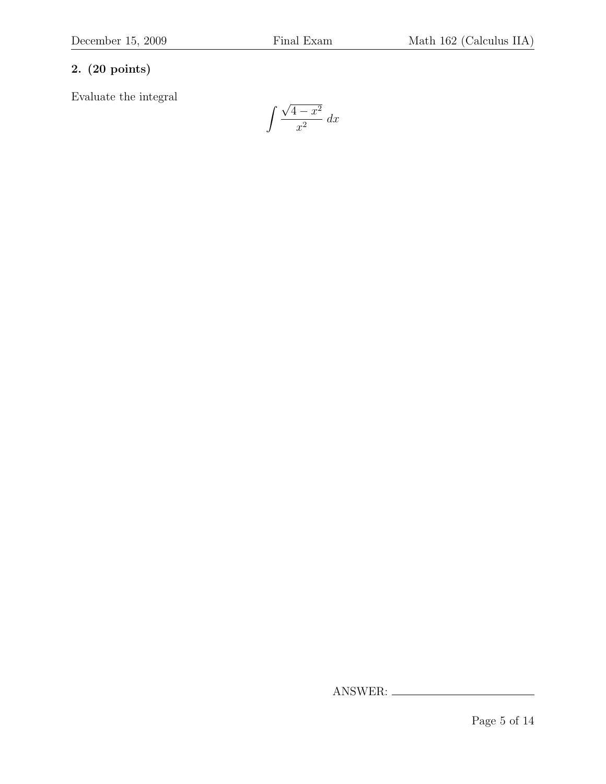## 2. (20 points)

Evaluate the integral

$$
\int \frac{\sqrt{4-x^2}}{x^2} \, dx
$$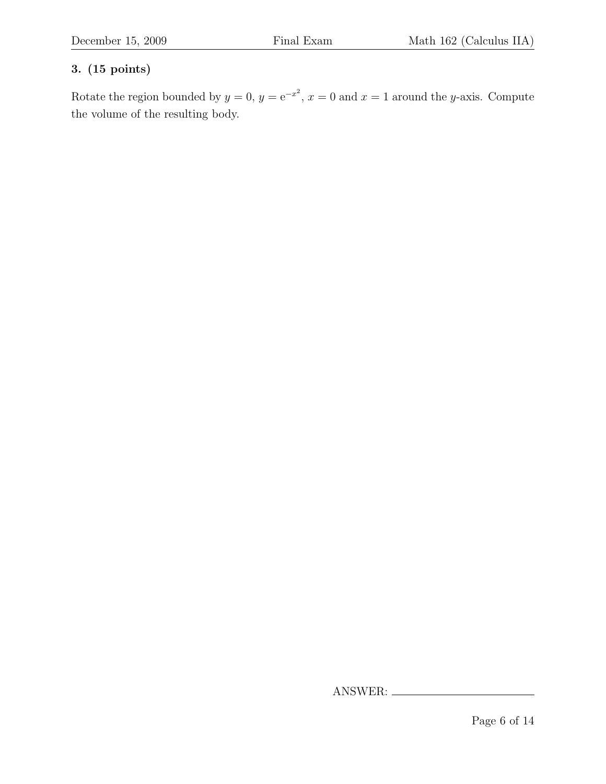Rotate the region bounded by  $y = 0$ ,  $y = e^{-x^2}$ ,  $x = 0$  and  $x = 1$  around the y-axis. Compute the volume of the resulting body.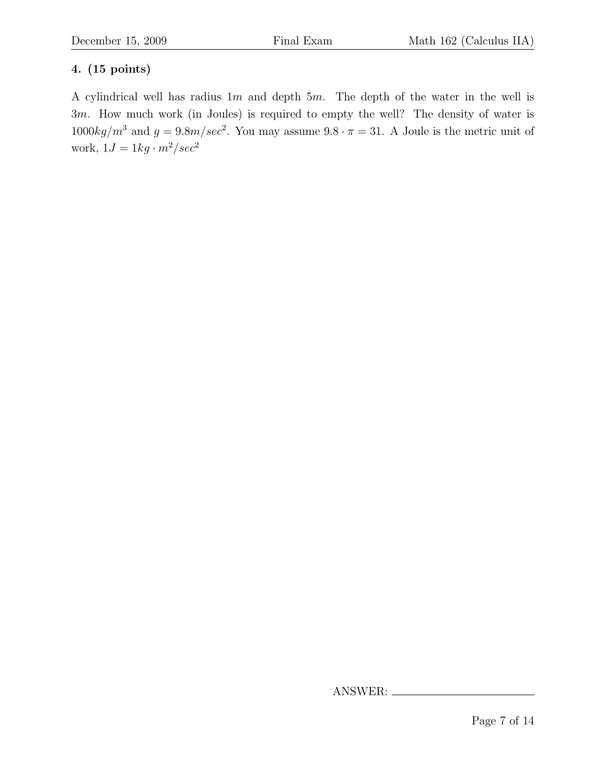A cylindrical well has radius  $1m$  and depth  $5m$ . The depth of the water in the well is 3m. How much work (in Joules) is required to empty the well? The density of water is  $1000kg/m^3$  and  $g = 9.8m/sec^2$ . You may assume  $9.8 \cdot \pi = 31$ . A Joule is the metric unit of work,  $1J = 1kg \cdot m^2/sec^2$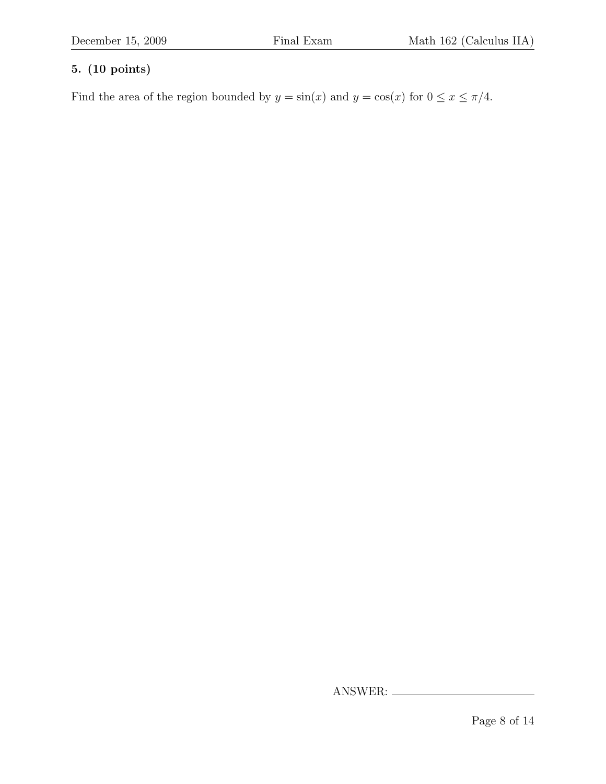Find the area of the region bounded by  $y = sin(x)$  and  $y = cos(x)$  for  $0 \le x \le \pi/4$ .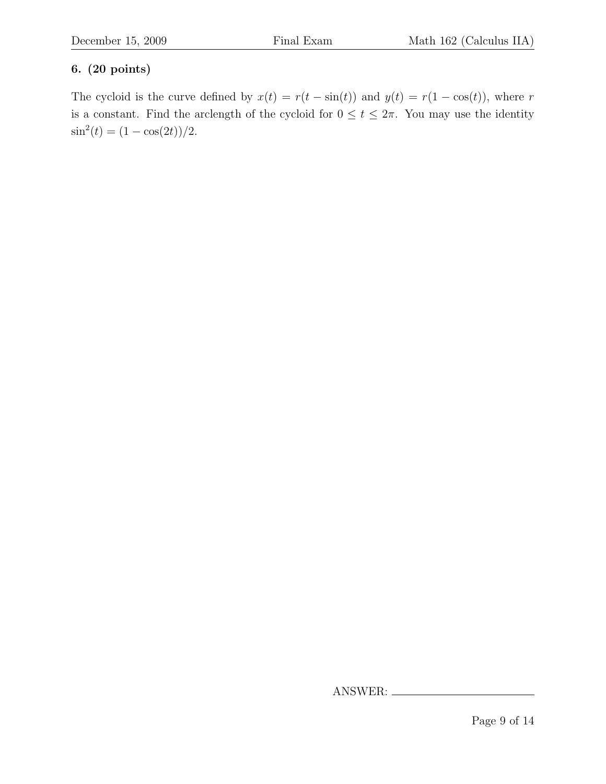#### 6. (20 points)

The cycloid is the curve defined by  $x(t) = r(t - \sin(t))$  and  $y(t) = r(1 - \cos(t))$ , where r is a constant. Find the arclength of the cycloid for  $0 \le t \le 2\pi$ . You may use the identity  $\sin^2(t) = (1 - \cos(2t))/2.$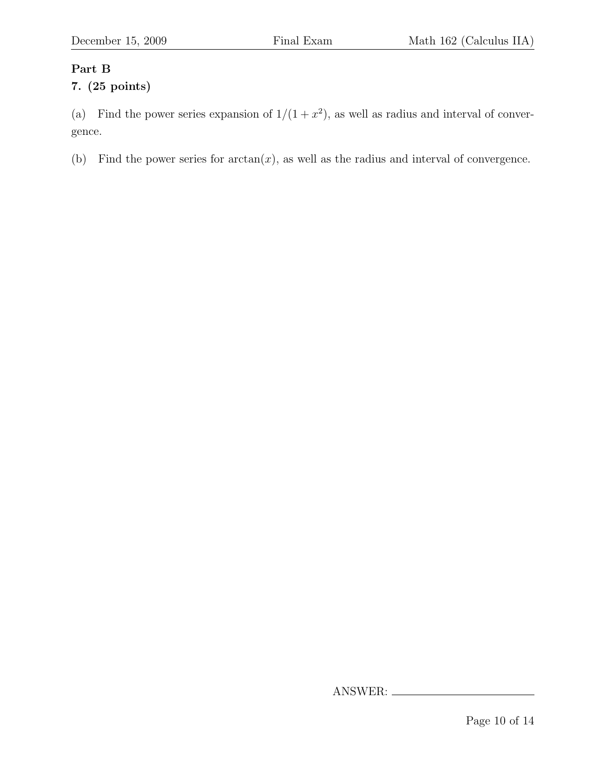### Part B

#### 7. (25 points)

(a) Find the power series expansion of  $1/(1+x^2)$ , as well as radius and interval of convergence.

(b) Find the power series for  $arctan(x)$ , as well as the radius and interval of convergence.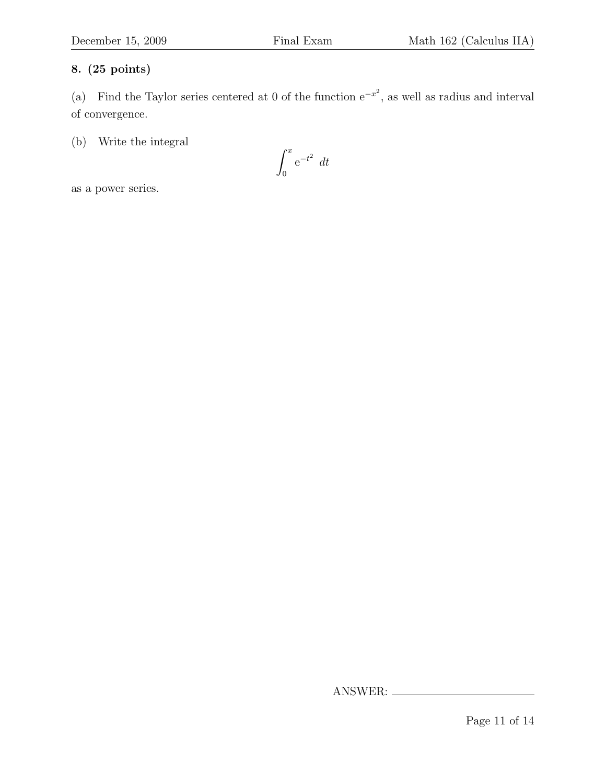(a) Find the Taylor series centered at 0 of the function  $e^{-x^2}$ , as well as radius and interval of convergence.

(b) Write the integral

$$
\int_0^x e^{-t^2} dt
$$

as a power series.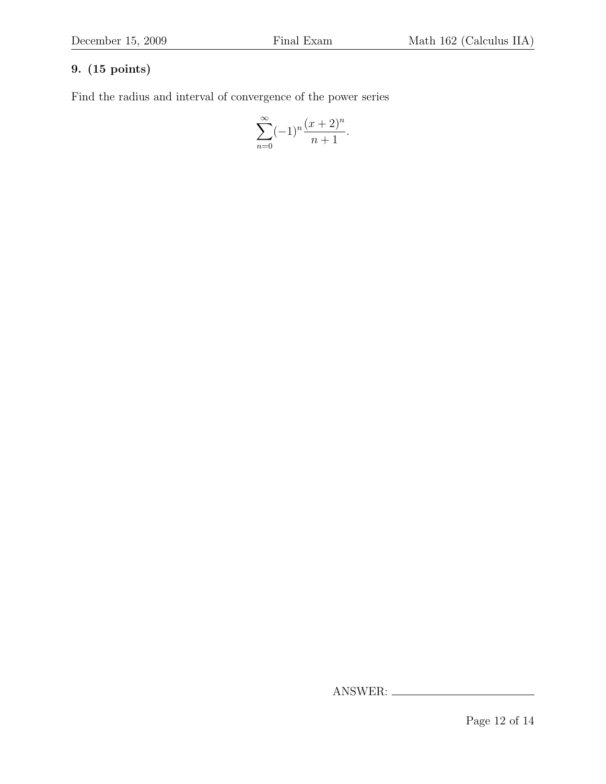Find the radius and interval of convergence of the power series

$$
\sum_{n=0}^{\infty} (-1)^n \frac{(x+2)^n}{n+1}.
$$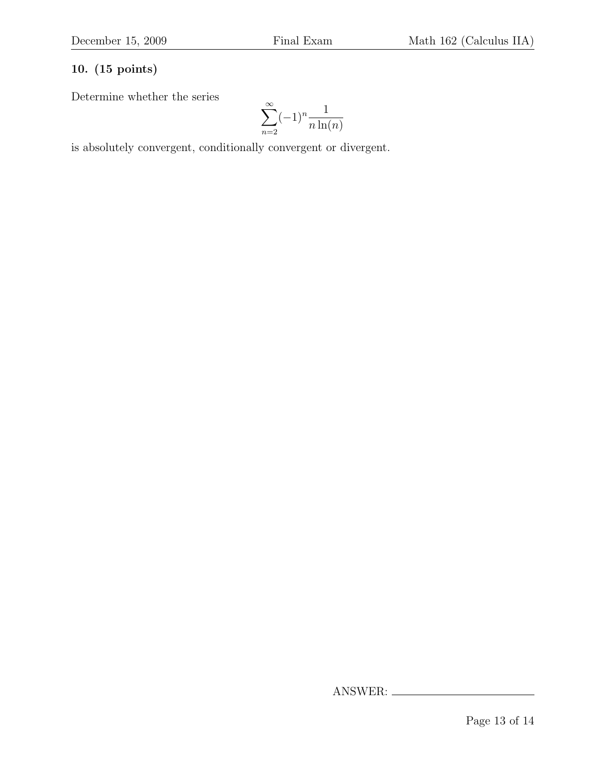Determine whether the series

$$
\sum_{n=2}^{\infty} (-1)^n \frac{1}{n \ln(n)}
$$

is absolutely convergent, conditionally convergent or divergent.